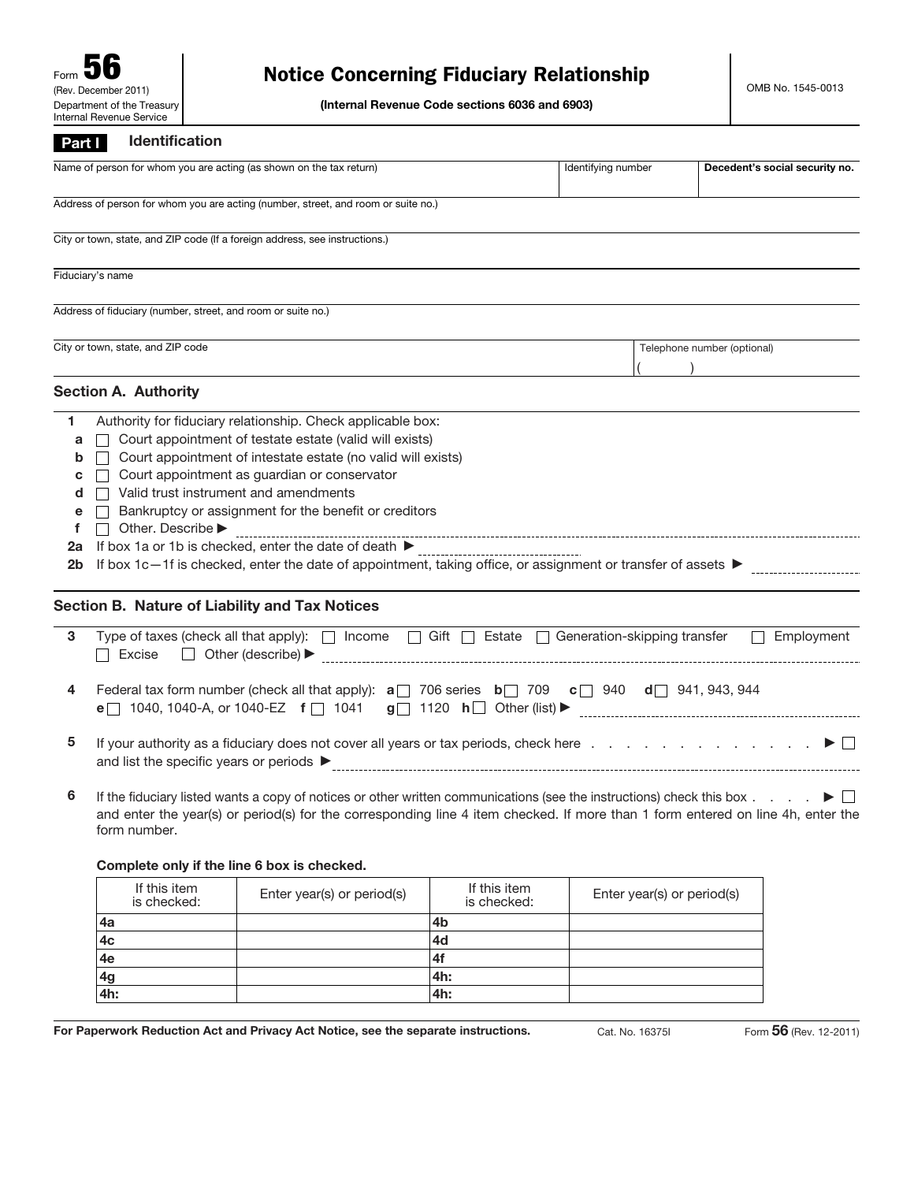## Notice Concerning Fiduciary Relationship

(Internal Revenue Code sections 6036 and 6903)

## **Part** I Identification

| .                                           |                                                                                                                                                                                                                                                                                                                                                                                                                                                                                                   |                    |  |                                |  |  |
|---------------------------------------------|---------------------------------------------------------------------------------------------------------------------------------------------------------------------------------------------------------------------------------------------------------------------------------------------------------------------------------------------------------------------------------------------------------------------------------------------------------------------------------------------------|--------------------|--|--------------------------------|--|--|
|                                             | Name of person for whom you are acting (as shown on the tax return)                                                                                                                                                                                                                                                                                                                                                                                                                               | Identifying number |  | Decedent's social security no. |  |  |
|                                             | Address of person for whom you are acting (number, street, and room or suite no.)                                                                                                                                                                                                                                                                                                                                                                                                                 |                    |  |                                |  |  |
|                                             | City or town, state, and ZIP code (If a foreign address, see instructions.)                                                                                                                                                                                                                                                                                                                                                                                                                       |                    |  |                                |  |  |
|                                             | Fiduciary's name                                                                                                                                                                                                                                                                                                                                                                                                                                                                                  |                    |  |                                |  |  |
|                                             | Address of fiduciary (number, street, and room or suite no.)                                                                                                                                                                                                                                                                                                                                                                                                                                      |                    |  |                                |  |  |
|                                             | City or town, state, and ZIP code                                                                                                                                                                                                                                                                                                                                                                                                                                                                 |                    |  | Telephone number (optional)    |  |  |
|                                             | <b>Section A. Authority</b>                                                                                                                                                                                                                                                                                                                                                                                                                                                                       |                    |  |                                |  |  |
| 1<br>a<br>b<br>c<br>d<br>e<br>f<br>2a<br>2b | Authority for fiduciary relationship. Check applicable box:<br>Court appointment of testate estate (valid will exists)<br>Court appointment of intestate estate (no valid will exists)<br>Court appointment as guardian or conservator<br>Valid trust instrument and amendments<br>Bankruptcy or assignment for the benefit or creditors<br>Other. Describe ▶<br>If box 1c-1f is checked, enter the date of appointment, taking office, or assignment or transfer of assets $\blacktriangleright$ |                    |  |                                |  |  |
|                                             | Section B. Nature of Liability and Tax Notices                                                                                                                                                                                                                                                                                                                                                                                                                                                    |                    |  |                                |  |  |
| 3                                           | Type of taxes (check all that apply): $\Box$ Income $\Box$ Gift $\Box$ Estate $\Box$ Generation-skipping transfer<br>Employment<br>$\Box$<br>$\Box$ Other (describe) $\blacktriangleright$<br>Excise                                                                                                                                                                                                                                                                                              |                    |  |                                |  |  |
| 4                                           | Federal tax form number (check all that apply): $\mathbf{a}$ 706 series $\mathbf{b}$ 709 $\mathbf{c}$ 940 $\mathbf{d}$ 941, 943, 944                                                                                                                                                                                                                                                                                                                                                              |                    |  |                                |  |  |
| 5                                           | If your authority as a fiduciary does not cover all years or tax periods, check here $\ldots$ , $\ldots$ , $\ldots$ , $\ldots$<br>and list the specific years or periods $\blacktriangleright$                                                                                                                                                                                                                                                                                                    |                    |  |                                |  |  |
| 6                                           | If the fiduciary listed wants a copy of notices or other written communications (see the instructions) check this box $\ldots$ $\blacktriangleright$                                                                                                                                                                                                                                                                                                                                              |                    |  |                                |  |  |

and enter the year(s) or period(s) for the corresponding line 4 item checked. If more than 1 form entered on line 4h, enter the form number.

## Complete only if the line 6 box is checked.

|     | If this item<br>is checked: | Enter year(s) or period(s) | If this item<br>is checked: | Enter year(s) or period(s) |
|-----|-----------------------------|----------------------------|-----------------------------|----------------------------|
| 4a  |                             |                            | 4b                          |                            |
| 4c  |                             |                            | 4d                          |                            |
| 4e  |                             |                            | 4f                          |                            |
| 4g  |                             |                            | 4h:                         |                            |
| 4h: |                             |                            | 4h:                         |                            |

For Paperwork Reduction Act and Privacy Act Notice, see the separate instructions. Cat. No. 16375I Form 56 (Rev. 12-2011)